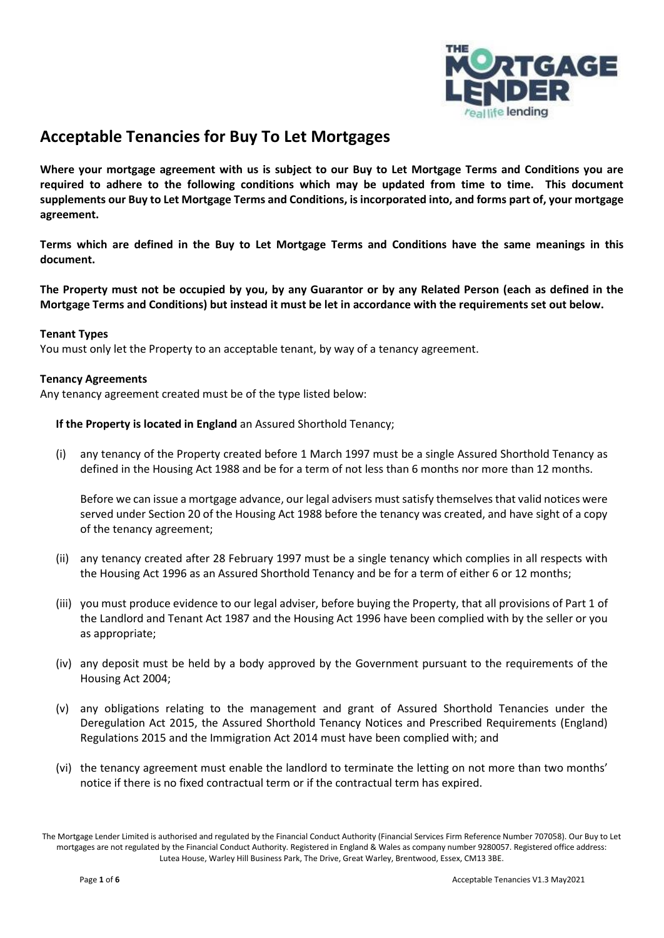

# **Acceptable Tenancies for Buy To Let Mortgages**

**Where your mortgage agreement with us is subject to our Buy to Let Mortgage Terms and Conditions you are required to adhere to the following conditions which may be updated from time to time. This document supplements our Buy to Let Mortgage Terms and Conditions, is incorporated into, and forms part of, your mortgage agreement.**

**Terms which are defined in the Buy to Let Mortgage Terms and Conditions have the same meanings in this document.**

**The Property must not be occupied by you, by any Guarantor or by any Related Person (each as defined in the Mortgage Terms and Conditions) but instead it must be let in accordance with the requirements set out below.**

### **Tenant Types**

You must only let the Property to an acceptable tenant, by way of a tenancy agreement.

#### **Tenancy Agreements**

Any tenancy agreement created must be of the type listed below:

**If the Property is located in England** an Assured Shorthold Tenancy;

(i) any tenancy of the Property created before 1 March 1997 must be a single Assured Shorthold Tenancy as defined in the Housing Act 1988 and be for a term of not less than 6 months nor more than 12 months.

Before we can issue a mortgage advance, our legal advisers must satisfy themselves that valid notices were served under Section 20 of the Housing Act 1988 before the tenancy was created, and have sight of a copy of the tenancy agreement;

- (ii) any tenancy created after 28 February 1997 must be a single tenancy which complies in all respects with the Housing Act 1996 as an Assured Shorthold Tenancy and be for a term of either 6 or 12 months;
- (iii) you must produce evidence to our legal adviser, before buying the Property, that all provisions of Part 1 of the Landlord and Tenant Act 1987 and the Housing Act 1996 have been complied with by the seller or you as appropriate;
- (iv) any deposit must be held by a body approved by the Government pursuant to the requirements of the Housing Act 2004;
- (v) any obligations relating to the management and grant of Assured Shorthold Tenancies under the Deregulation Act 2015, the Assured Shorthold Tenancy Notices and Prescribed Requirements (England) Regulations 2015 and the Immigration Act 2014 must have been complied with; and
- (vi) the tenancy agreement must enable the landlord to terminate the letting on not more than two months' notice if there is no fixed contractual term or if the contractual term has expired.

The Mortgage Lender Limited is authorised and regulated by the Financial Conduct Authority (Financial Services Firm Reference Number 707058). Our Buy to Let mortgages are not regulated by the Financial Conduct Authority. Registered in England & Wales as company number 9280057. Registered office address: Lutea House, Warley Hill Business Park, The Drive, Great Warley, Brentwood, Essex, CM13 3BE.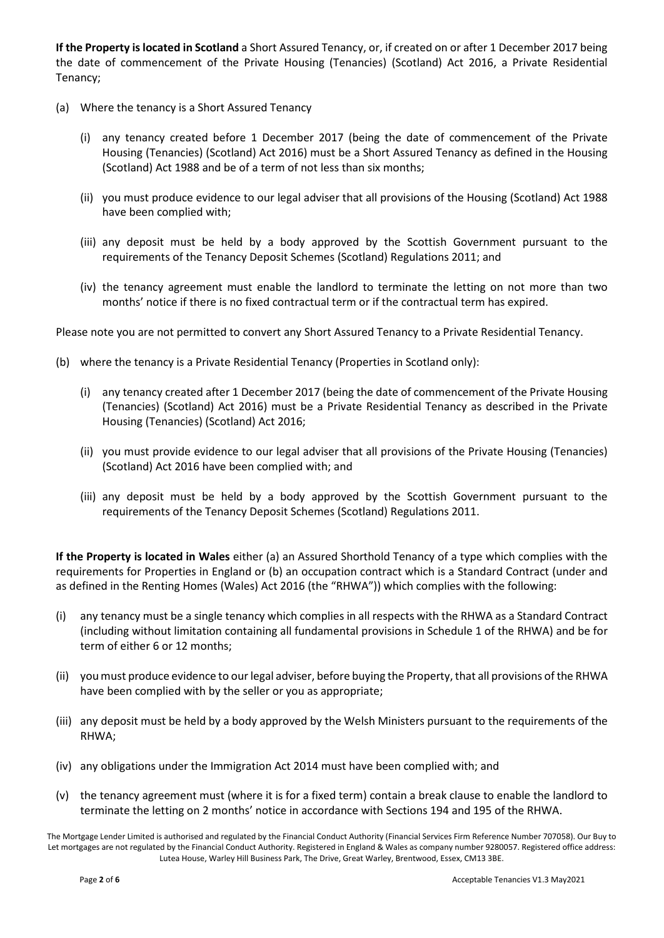**If the Property is located in Scotland** a Short Assured Tenancy, or, if created on or after 1 December 2017 being the date of commencement of the Private Housing (Tenancies) (Scotland) Act 2016, a Private Residential Tenancy;

- (a) Where the tenancy is a Short Assured Tenancy
	- (i) any tenancy created before 1 December 2017 (being the date of commencement of the Private Housing (Tenancies) (Scotland) Act 2016) must be a Short Assured Tenancy as defined in the Housing (Scotland) Act 1988 and be of a term of not less than six months;
	- (ii) you must produce evidence to our legal adviser that all provisions of the Housing (Scotland) Act 1988 have been complied with;
	- (iii) any deposit must be held by a body approved by the Scottish Government pursuant to the requirements of the Tenancy Deposit Schemes (Scotland) Regulations 2011; and
	- (iv) the tenancy agreement must enable the landlord to terminate the letting on not more than two months' notice if there is no fixed contractual term or if the contractual term has expired.

Please note you are not permitted to convert any Short Assured Tenancy to a Private Residential Tenancy.

- (b) where the tenancy is a Private Residential Tenancy (Properties in Scotland only):
	- (i) any tenancy created after 1 December 2017 (being the date of commencement of the Private Housing (Tenancies) (Scotland) Act 2016) must be a Private Residential Tenancy as described in the Private Housing (Tenancies) (Scotland) Act 2016;
	- (ii) you must provide evidence to our legal adviser that all provisions of the Private Housing (Tenancies) (Scotland) Act 2016 have been complied with; and
	- (iii) any deposit must be held by a body approved by the Scottish Government pursuant to the requirements of the Tenancy Deposit Schemes (Scotland) Regulations 2011.

**If the Property is located in Wales** either (a) an Assured Shorthold Tenancy of a type which complies with the requirements for Properties in England or (b) an occupation contract which is a Standard Contract (under and as defined in the Renting Homes (Wales) Act 2016 (the "RHWA")) which complies with the following:

- (i) any tenancy must be a single tenancy which complies in all respects with the RHWA as a Standard Contract (including without limitation containing all fundamental provisions in Schedule 1 of the RHWA) and be for term of either 6 or 12 months;
- (ii) you must produce evidence to our legal adviser, before buying the Property, that all provisions of the RHWA have been complied with by the seller or you as appropriate;
- (iii) any deposit must be held by a body approved by the Welsh Ministers pursuant to the requirements of the RHWA;
- (iv) any obligations under the Immigration Act 2014 must have been complied with; and
- (v) the tenancy agreement must (where it is for a fixed term) contain a break clause to enable the landlord to terminate the letting on 2 months' notice in accordance with Sections 194 and 195 of the RHWA.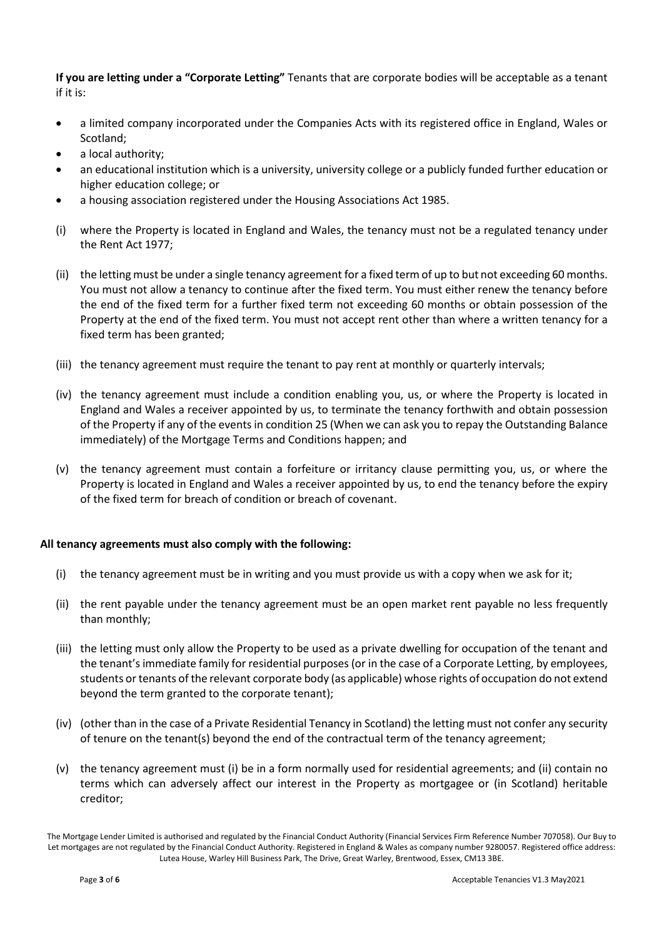**If you are letting under a "Corporate Letting"** Tenants that are corporate bodies will be acceptable as a tenant if it is:

- a limited company incorporated under the Companies Acts with its registered office in England, Wales or Scotland;
- a local authority;
- an educational institution which is a university, university college or a publicly funded further education or higher education college; or
- a housing association registered under the Housing Associations Act 1985.
- (i) where the Property is located in England and Wales, the tenancy must not be a regulated tenancy under the Rent Act 1977;
- (ii) the letting must be under a single tenancy agreement for a fixed term of up to but not exceeding 60 months. You must not allow a tenancy to continue after the fixed term. You must either renew the tenancy before the end of the fixed term for a further fixed term not exceeding 60 months or obtain possession of the Property at the end of the fixed term. You must not accept rent other than where a written tenancy for a fixed term has been granted;
- (iii) the tenancy agreement must require the tenant to pay rent at monthly or quarterly intervals;
- (iv) the tenancy agreement must include a condition enabling you, us, or where the Property is located in England and Wales a receiver appointed by us, to terminate the tenancy forthwith and obtain possession of the Property if any of the events in condition 25 (When we can ask you to repay the Outstanding Balance immediately) of the Mortgage Terms and Conditions happen; and
- (v) the tenancy agreement must contain a forfeiture or irritancy clause permitting you, us, or where the Property is located in England and Wales a receiver appointed by us, to end the tenancy before the expiry of the fixed term for breach of condition or breach of covenant.

### **All tenancy agreements must also comply with the following:**

- (i) the tenancy agreement must be in writing and you must provide us with a copy when we ask for it;
- (ii) the rent payable under the tenancy agreement must be an open market rent payable no less frequently than monthly;
- (iii) the letting must only allow the Property to be used as a private dwelling for occupation of the tenant and the tenant's immediate family for residential purposes (or in the case of a Corporate Letting, by employees, students or tenants of the relevant corporate body (as applicable) whose rights of occupation do not extend beyond the term granted to the corporate tenant);
- (iv) (other than in the case of a Private Residential Tenancy in Scotland) the letting must not confer any security of tenure on the tenant(s) beyond the end of the contractual term of the tenancy agreement;
- (v) the tenancy agreement must (i) be in a form normally used for residential agreements; and (ii) contain no terms which can adversely affect our interest in the Property as mortgagee or (in Scotland) heritable creditor;

The Mortgage Lender Limited is authorised and regulated by the Financial Conduct Authority (Financial Services Firm Reference Number 707058). Our Buy to Let mortgages are not regulated by the Financial Conduct Authority. Registered in England & Wales as company number 9280057. Registered office address: Lutea House, Warley Hill Business Park, The Drive, Great Warley, Brentwood, Essex, CM13 3BE.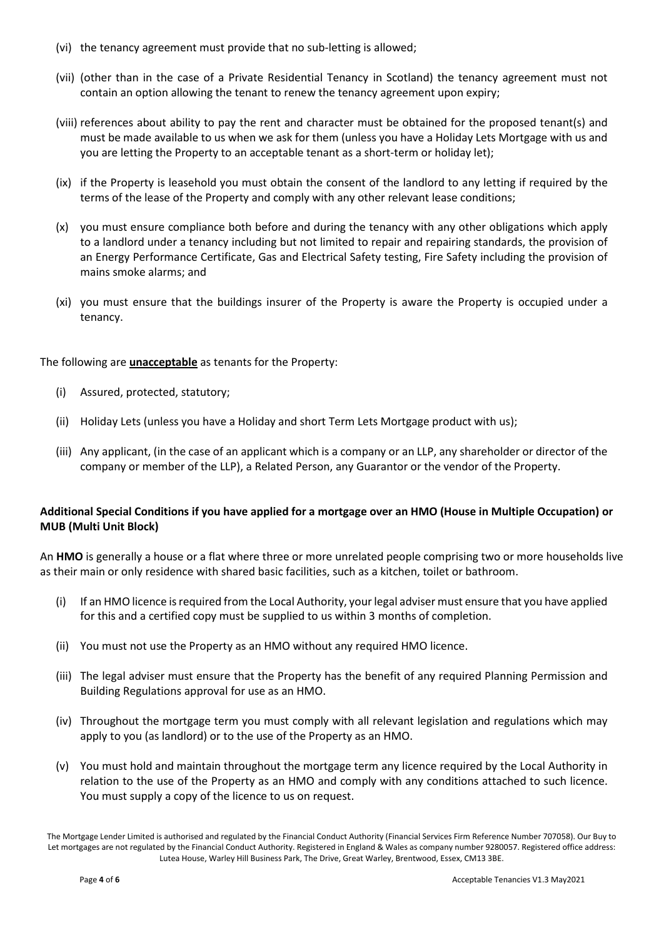- (vi) the tenancy agreement must provide that no sub-letting is allowed;
- (vii) (other than in the case of a Private Residential Tenancy in Scotland) the tenancy agreement must not contain an option allowing the tenant to renew the tenancy agreement upon expiry;
- (viii) references about ability to pay the rent and character must be obtained for the proposed tenant(s) and must be made available to us when we ask for them (unless you have a Holiday Lets Mortgage with us and you are letting the Property to an acceptable tenant as a short-term or holiday let);
- (ix) if the Property is leasehold you must obtain the consent of the landlord to any letting if required by the terms of the lease of the Property and comply with any other relevant lease conditions;
- (x) you must ensure compliance both before and during the tenancy with any other obligations which apply to a landlord under a tenancy including but not limited to repair and repairing standards, the provision of an Energy Performance Certificate, Gas and Electrical Safety testing, Fire Safety including the provision of mains smoke alarms; and
- (xi) you must ensure that the buildings insurer of the Property is aware the Property is occupied under a tenancy.

The following are **unacceptable** as tenants for the Property:

- (i) Assured, protected, statutory;
- (ii) Holiday Lets (unless you have a Holiday and short Term Lets Mortgage product with us);
- (iii) Any applicant, (in the case of an applicant which is a company or an LLP, any shareholder or director of the company or member of the LLP), a Related Person, any Guarantor or the vendor of the Property.

## **Additional Special Conditions if you have applied for a mortgage over an HMO (House in Multiple Occupation) or MUB (Multi Unit Block)**

An **HMO** is generally a house or a flat where three or more unrelated people comprising two or more households live as their main or only residence with shared basic facilities, such as a kitchen, toilet or bathroom.

- (i) If an HMO licence is required from the Local Authority, your legal adviser must ensure that you have applied for this and a certified copy must be supplied to us within 3 months of completion.
- (ii) You must not use the Property as an HMO without any required HMO licence.
- (iii) The legal adviser must ensure that the Property has the benefit of any required Planning Permission and Building Regulations approval for use as an HMO.
- (iv) Throughout the mortgage term you must comply with all relevant legislation and regulations which may apply to you (as landlord) or to the use of the Property as an HMO.
- (v) You must hold and maintain throughout the mortgage term any licence required by the Local Authority in relation to the use of the Property as an HMO and comply with any conditions attached to such licence. You must supply a copy of the licence to us on request.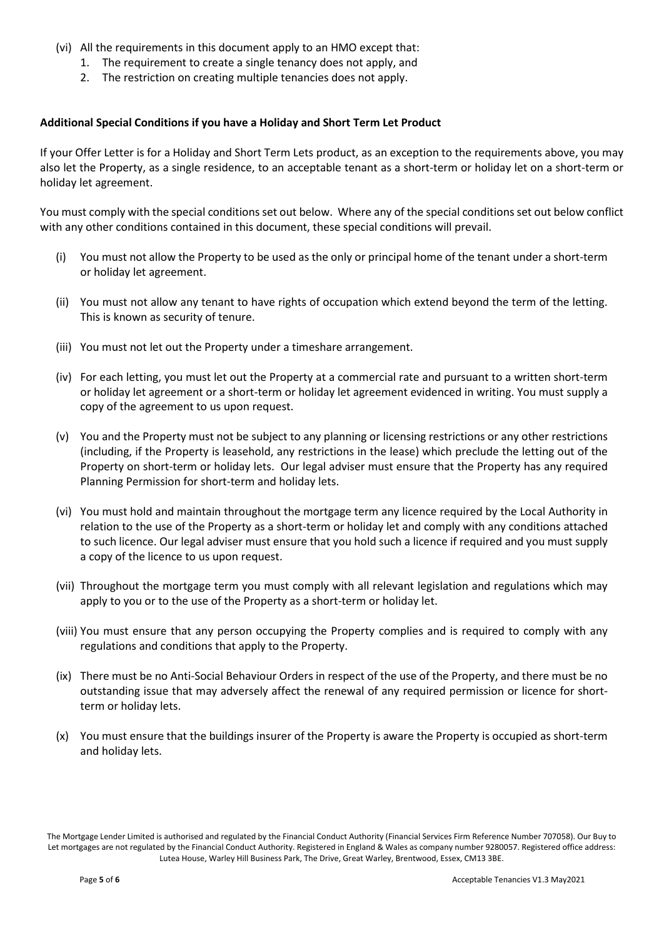- (vi) All the requirements in this document apply to an HMO except that:
	- 1. The requirement to create a single tenancy does not apply, and
	- 2. The restriction on creating multiple tenancies does not apply.

#### **Additional Special Conditions if you have a Holiday and Short Term Let Product**

If your Offer Letter is for a Holiday and Short Term Lets product, as an exception to the requirements above, you may also let the Property, as a single residence, to an acceptable tenant as a short-term or holiday let on a short-term or holiday let agreement.

You must comply with the special conditions set out below. Where any of the special conditions set out below conflict with any other conditions contained in this document, these special conditions will prevail.

- (i) You must not allow the Property to be used as the only or principal home of the tenant under a short-term or holiday let agreement.
- (ii) You must not allow any tenant to have rights of occupation which extend beyond the term of the letting. This is known as security of tenure.
- (iii) You must not let out the Property under a timeshare arrangement.
- (iv) For each letting, you must let out the Property at a commercial rate and pursuant to a written short-term or holiday let agreement or a short-term or holiday let agreement evidenced in writing. You must supply a copy of the agreement to us upon request.
- (v) You and the Property must not be subject to any planning or licensing restrictions or any other restrictions (including, if the Property is leasehold, any restrictions in the lease) which preclude the letting out of the Property on short-term or holiday lets. Our legal adviser must ensure that the Property has any required Planning Permission for short-term and holiday lets.
- (vi) You must hold and maintain throughout the mortgage term any licence required by the Local Authority in relation to the use of the Property as a short-term or holiday let and comply with any conditions attached to such licence. Our legal adviser must ensure that you hold such a licence if required and you must supply a copy of the licence to us upon request.
- (vii) Throughout the mortgage term you must comply with all relevant legislation and regulations which may apply to you or to the use of the Property as a short-term or holiday let.
- (viii) You must ensure that any person occupying the Property complies and is required to comply with any regulations and conditions that apply to the Property.
- (ix) There must be no Anti-Social Behaviour Orders in respect of the use of the Property, and there must be no outstanding issue that may adversely affect the renewal of any required permission or licence for shortterm or holiday lets.
- (x) You must ensure that the buildings insurer of the Property is aware the Property is occupied as short-term and holiday lets.